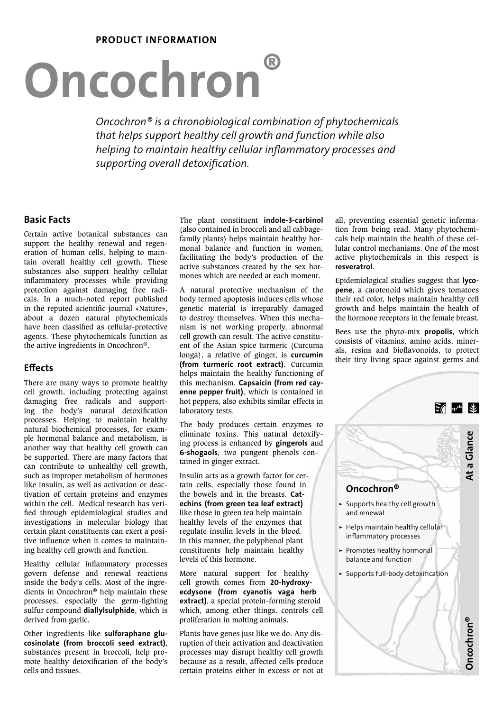## PRODUCT INFORMATION

# Oncochron®

*Oncochron® is a chronobiological combination of phytochemicals that helps support healthy cell growth and function while also helping to maintain healthy cellular inflammatory processes and supporting overall detoxification.*

# Basic Facts

Certain active botanical substances can support the healthy renewal and regeneration of human cells, helping to maintain overall healthy cell growth. These substances also support healthy cellular inflammatory processes while providing protection against damaging free radicals. In a much-noted report published in the reputed scientific journal «Nature», about a dozen natural phytochemicals have been classified as cellular-protective agents. These phytochemicals function as the active ingredients in Oncochron®.

# **Effects**

There are many ways to promote healthy cell growth, including protecting against damaging free radicals and supporting the body's natural detoxification processes. Helping to maintain healthy natural biochemical processes, for example hormonal balance and metabolism, is another way that healthy cell growth can be supported. There are many factors that can contribute to unhealthy cell growth, such as improper metabolism of hormones like insulin, as well as activation or deactivation of certain proteins and enzymes within the cell. Medical research has verified through epidemiological studies and investigations in molecular biology that certain plant constituents can exert a positive influence when it comes to maintaining healthy cell growth and function.

Healthy cellular inflammatory processes govern defense and renewal reactions inside the body's cells. Most of the ingredients in Oncochron® help maintain these processes, especially the germ-fighting sulfur compound diallylsulphide, which is derived from garlic.

Other ingredients like sulforaphane glucosinolate (from broccoli seed extract), substances present in broccoli, help promote healthy detoxification of the body's cells and tissues.

The plant constituent indole-3-carbinol (also contained in broccoli and all cabbagefamily plants) helps maintain healthy hormonal balance and function in women, facilitating the body's production of the active substances created by the sex hormones which are needed at each moment.

A natural protective mechanism of the body termed apoptosis induces cells whose genetic material is irreparably damaged to destroy themselves. When this mechanism is not working properly, abnormal cell growth can result. The active constituent of the Asian spice turmeric (Curcuma longa), a relative of ginger, is curcumin (from turmeric root extract). Curcumin helps maintain the healthy functioning of this mechanism. Capsaicin (from red cayenne pepper fruit), which is contained in hot peppers, also exhibits similar effects in laboratory tests.

The body produces certain enzymes to eliminate toxins. This natural detoxifying process is enhanced by gingerols and 6-shogaols, two pungent phenols contained in ginger extract.

Insulin acts as a growth factor for certain cells, especially those found in the bowels and in the breasts. Catechins (from green tea leaf extract) like those in green tea help maintain healthy levels of the enzymes that regulate insulin levels in the blood. In this manner, the polyphenol plant constituents help maintain healthy levels of this hormone.

More natural support for healthy cell growth comes from 20-hydroxyecdysone (from cyanotis vaga herb extract), a special protein-forming steroid which, among other things, controls cell proliferation in molting animals.

Plants have genes just like we do. Any disruption of their activation and deactivation processes may disrupt healthy cell growth because as a result, affected cells produce certain proteins either in excess or not at all, preventing essential genetic information from being read. Many phytochemicals help maintain the health of these cellular control mechanisms. One of the most active phytochemicals in this respect is resveratrol.

Epidemiological studies suggest that lycopene, a carotenoid which gives tomatoes their red color, helps maintain healthy cell growth and helps maintain the health of the hormone receptors in the female breast.

Bees use the phyto-mix propolis, which consists of vitamins, amino acids, minerals, resins and bioflavonoids, to protect their tiny living space against germs and